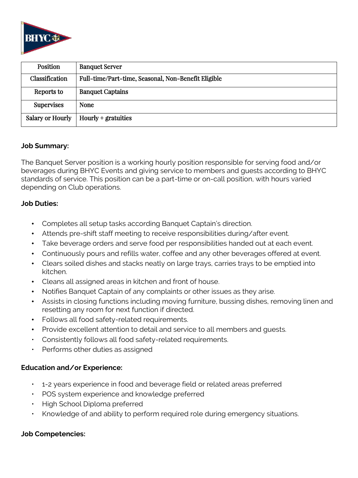

| Position                | <b>Banquet Server</b>                               |
|-------------------------|-----------------------------------------------------|
| Classification          | Full-time/Part-time, Seasonal, Non-Benefit Eligible |
| Reports to              | <b>Banquet Captains</b>                             |
| <b>Supervises</b>       | <b>None</b>                                         |
| <b>Salary or Hourly</b> | $Hourly +$ gratuities                               |

### **Job Summary:**

The Banquet Server position is a working hourly position responsible for serving food and/or beverages during BHYC Events and giving service to members and guests according to BHYC standards of service. This position can be a part-time or on-call position, with hours varied depending on Club operations.

### **Job Duties:**

- Completes all setup tasks according Banquet Captain's direction.
- Attends pre-shift staff meeting to receive responsibilities during/after event.
- Take beverage orders and serve food per responsibilities handed out at each event.
- Continuously pours and refills water, coffee and any other beverages offered at event.
- Clears soiled dishes and stacks neatly on large trays, carries trays to be emptied into kitchen.
- Cleans all assigned areas in kitchen and front of house.
- Notifies Banquet Captain of any complaints or other issues as they arise.
- Assists in closing functions including moving furniture, bussing dishes, removing linen and resetting any room for next function if directed.
- Follows all food safety-related requirements.
- Provide excellent attention to detail and service to all members and guests.
- Consistently follows all food safety-related requirements.
- Performs other duties as assigned

# **Education and/or Experience:**

- 1-2 years experience in food and beverage field or related areas preferred
- POS system experience and knowledge preferred
- High School Diploma preferred
- Knowledge of and ability to perform required role during emergency situations.

### **Job Competencies:**